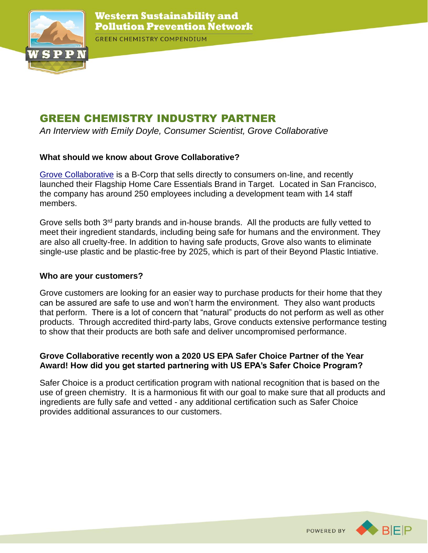

**GREEN CHEMISTRY COMPENDIUM** 

# GREEN CHEMISTRY INDUSTRY PARTNER

*An Interview with Emily Doyle, Consumer Scientist, Grove Collaborative*

## **What should we know about Grove Collaborative?**

[Grove Collaborative](https://www.grove.co/member/home/) is a B-Corp that sells directly to consumers on-line, and recently launched their Flagship Home Care Essentials Brand in Target. Located in San Francisco, the company has around 250 employees including a development team with 14 staff members.

Grove sells both 3<sup>rd</sup> party brands and in-house brands. All the products are fully vetted to meet their ingredient standards, including being safe for humans and the environment. They are also all cruelty-free. In addition to having safe products, Grove also wants to eliminate single-use plastic and be plastic-free by 2025, which is part of their Beyond Plastic Intiative.

## **Who are your customers?**

Grove customers are looking for an easier way to purchase products for their home that they can be assured are safe to use and won't harm the environment. They also want products that perform. There is a lot of concern that "natural" products do not perform as well as other products. Through accredited third-party labs, Grove conducts extensive performance testing to show that their products are both safe and deliver uncompromised performance.

### **Grove Collaborative recently won a 2020 US EPA Safer Choice Partner of the Year Award! How did you get started partnering with US EPA's Safer Choice Program?**

Safer Choice is a product certification program with national recognition that is based on the use of green chemistry. It is a harmonious fit with our goal to make sure that all products and ingredients are fully safe and vetted - any additional certification such as Safer Choice provides additional assurances to our customers.